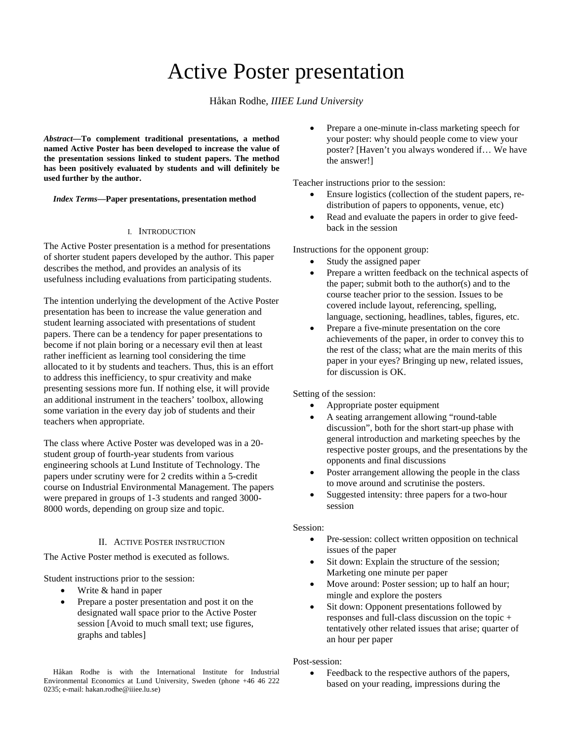# Active Poster presentation

# Håkan Rodhe*, IIIEE Lund University*

*Abstract***—To complement traditional presentations, a method named Active Poster has been developed to increase the value of the presentation sessions linked to student papers. The method has been positively evaluated by students and will definitely be used further by the author.** 

#### *Index Terms***—Paper presentations, presentation method**

#### I. INTRODUCTION

The Active Poster presentation is a method for presentations of shorter student papers developed by the author. This paper describes the method, and provides an analysis of its usefulness including evaluations from participating students.

The intention underlying the development of the Active Poster presentation has been to increase the value generation and student learning associated with presentations of student papers. There can be a tendency for paper presentations to become if not plain boring or a necessary evil then at least rather inefficient as learning tool considering the time allocated to it by students and teachers. Thus, this is an effort to address this inefficiency, to spur creativity and make presenting sessions more fun. If nothing else, it will provide an additional instrument in the teachers' toolbox, allowing some variation in the every day job of students and their teachers when appropriate.

The class where Active Poster was developed was in a 20 student group of fourth-year students from various engineering schools at Lund Institute of Technology. The papers under scrutiny were for 2 credits within a 5-credit course on Industrial Environmental Management. The papers were prepared in groups of 1-3 students and ranged 3000- 8000 words, depending on group size and topic.

#### II. ACTIVE POSTER INSTRUCTION

The Active Poster method is executed as follows.

Student instructions prior to the session:

- Write & hand in paper
- Prepare a poster presentation and post it on the designated wall space prior to the Active Poster session [Avoid to much small text; use figures, graphs and tables]

• Prepare a one-minute in-class marketing speech for your poster: why should people come to view your poster? [Haven't you always wondered if… We have the answer!]

Teacher instructions prior to the session:

- Ensure logistics (collection of the student papers, redistribution of papers to opponents, venue, etc)
- Read and evaluate the papers in order to give feedback in the session

Instructions for the opponent group:

- Study the assigned paper
- Prepare a written feedback on the technical aspects of the paper; submit both to the author(s) and to the course teacher prior to the session. Issues to be covered include layout, referencing, spelling, language, sectioning, headlines, tables, figures, etc.
- Prepare a five-minute presentation on the core achievements of the paper, in order to convey this to the rest of the class; what are the main merits of this paper in your eyes? Bringing up new, related issues, for discussion is OK.

Setting of the session:

- Appropriate poster equipment
- A seating arrangement allowing "round-table discussion", both for the short start-up phase with general introduction and marketing speeches by the respective poster groups, and the presentations by the opponents and final discussions
- Poster arrangement allowing the people in the class to move around and scrutinise the posters.
- Suggested intensity: three papers for a two-hour session

#### Session:

- Pre-session: collect written opposition on technical issues of the paper
- Sit down: Explain the structure of the session; Marketing one minute per paper
- Move around: Poster session; up to half an hour; mingle and explore the posters
- Sit down: Opponent presentations followed by responses and full-class discussion on the topic + tentatively other related issues that arise; quarter of an hour per paper

Post-session:

Feedback to the respective authors of the papers, based on your reading, impressions during the

Håkan Rodhe is with the International Institute for Industrial Environmental Economics at Lund University, Sweden (phone +46 46 222 0235; e-mail: hakan.rodhe@iiiee.lu.se)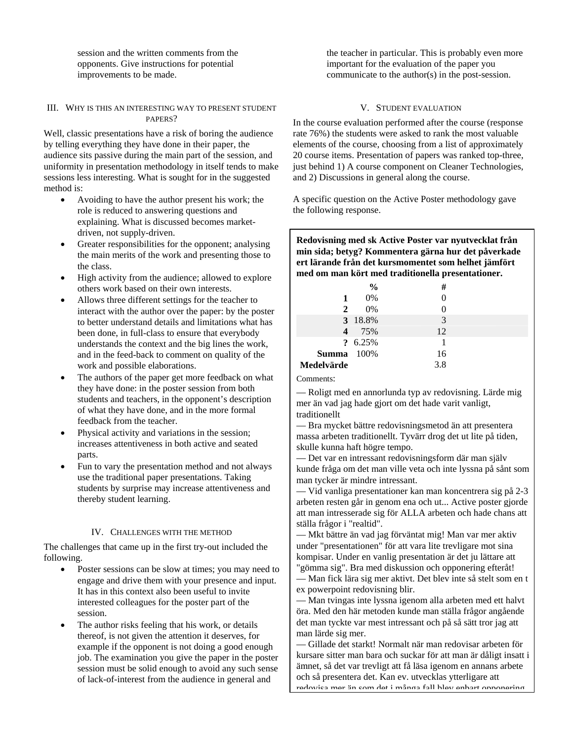session and the written comments from the opponents. Give instructions for potential improvements to be made.

#### III. WHY IS THIS AN INTERESTING WAY TO PRESENT STUDENT PAPERS?

Well, classic presentations have a risk of boring the audience by telling everything they have done in their paper, the audience sits passive during the main part of the session, and uniformity in presentation methodology in itself tends to make sessions less interesting. What is sought for in the suggested method is:

- Avoiding to have the author present his work; the role is reduced to answering questions and explaining. What is discussed becomes marketdriven, not supply-driven.
- Greater responsibilities for the opponent; analysing the main merits of the work and presenting those to the class.
- High activity from the audience; allowed to explore others work based on their own interests.
- Allows three different settings for the teacher to interact with the author over the paper: by the poster to better understand details and limitations what has been done, in full-class to ensure that everybody understands the context and the big lines the work, and in the feed-back to comment on quality of the work and possible elaborations.
- The authors of the paper get more feedback on what they have done: in the poster session from both students and teachers, in the opponent's description of what they have done, and in the more formal feedback from the teacher.
- Physical activity and variations in the session; increases attentiveness in both active and seated parts.
- Fun to vary the presentation method and not always use the traditional paper presentations. Taking students by surprise may increase attentiveness and thereby student learning.

# IV. CHALLENGES WITH THE METHOD

The challenges that came up in the first try-out included the following.

- Poster sessions can be slow at times; you may need to engage and drive them with your presence and input. It has in this context also been useful to invite interested colleagues for the poster part of the session.
- The author risks feeling that his work, or details thereof, is not given the attention it deserves, for example if the opponent is not doing a good enough job. The examination you give the paper in the poster session must be solid enough to avoid any such sense of lack-of-interest from the audience in general and

the teacher in particular. This is probably even more important for the evaluation of the paper you communicate to the author(s) in the post-session.

## V. STUDENT EVALUATION

In the course evaluation performed after the course (response rate 76%) the students were asked to rank the most valuable elements of the course, choosing from a list of approximately 20 course items. Presentation of papers was ranked top-three, just behind 1) A course component on Cleaner Technologies, and 2) Discussions in general along the course.

A specific question on the Active Poster methodology gave the following response.

**Redovisning med sk Active Poster var nyutvecklat från min sida; betyg? Kommentera gärna hur det påverkade ert lärande från det kursmomentet som helhet jämfört med om man kört med traditionella presentationer.**

|                   | $\frac{6}{9}$ | #   |  |
|-------------------|---------------|-----|--|
| 1                 | $0\%$         |     |  |
| $\mathbf{2}$      | $0\%$         |     |  |
|                   | 3 18.8%       | 3   |  |
| 4                 | 75%           | 12  |  |
|                   | ? 6.25%       |     |  |
| <b>Summa</b> 100% |               | 16  |  |
| Medelvärde        |               | 3.8 |  |

#### Comments:

— Roligt med en annorlunda typ av redovisning. Lärde mig mer än vad jag hade gjort om det hade varit vanligt, traditionellt

— Bra mycket bättre redovisningsmetod än att presentera massa arbeten traditionellt. Tyvärr drog det ut lite på tiden, skulle kunna haft högre tempo.

— Det var en intressant redovisningsform där man själv kunde fråga om det man ville veta och inte lyssna på sånt som man tycker är mindre intressant.

— Vid vanliga presentationer kan man koncentrera sig på 2-3 arbeten resten går in genom ena och ut... Active poster gjorde att man intresserade sig för ALLA arbeten och hade chans att ställa frågor i "realtid".

— Mkt bättre än vad jag förväntat mig! Man var mer aktiv under "presentationen" för att vara lite trevligare mot sina kompisar. Under en vanlig presentation är det ju lättare att "gömma sig". Bra med diskussion och opponering efteråt!

— Man fick lära sig mer aktivt. Det blev inte så stelt som en t ex powerpoint redovisning blir.

— Man tvingas inte lyssna igenom alla arbeten med ett halvt öra. Med den här metoden kunde man ställa frågor angående det man tyckte var mest intressant och på så sätt tror jag att man lärde sig mer.

— Gillade det starkt! Normalt när man redovisar arbeten för kursare sitter man bara och suckar för att man är dåligt insatt i ämnet, så det var trevligt att få läsa igenom en annans arbete och så presentera det. Kan ev. utvecklas ytterligare att redovisa mer än som det i många fall blev enbart opponering